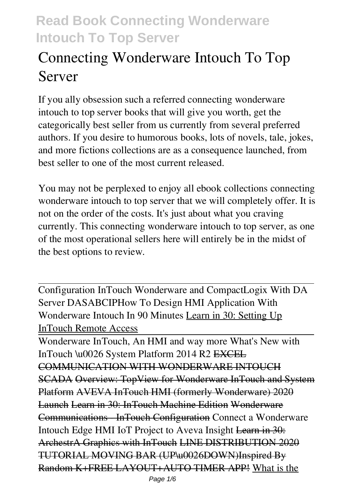# **Connecting Wonderware Intouch To Top Server**

If you ally obsession such a referred **connecting wonderware intouch to top server** books that will give you worth, get the categorically best seller from us currently from several preferred authors. If you desire to humorous books, lots of novels, tale, jokes, and more fictions collections are as a consequence launched, from best seller to one of the most current released.

You may not be perplexed to enjoy all ebook collections connecting wonderware intouch to top server that we will completely offer. It is not on the order of the costs. It's just about what you craving currently. This connecting wonderware intouch to top server, as one of the most operational sellers here will entirely be in the midst of the best options to review.

Configuration InTouch Wonderware and CompactLogix With DA Server DASABCIP**How To Design HMI Application With Wonderware Intouch In 90 Minutes** Learn in 30: Setting Up InTouch Remote Access

Wonderware InTouch, An HMI and way more What's New with InTouch \u0026 System Platform 2014 R2 EXCEL COMMUNICATION WITH WONDERWARE INTOUCH SCADA Overview: TopView for Wonderware InTouch and System Platform AVEVA InTouch HMI (formerly Wonderware) 2020 Launch Learn in 30: InTouch Machine Edition Wonderware Communications - InTouch Configuration *Connect a Wonderware Intouch Edge HMI IoT Project to Aveva Insight* Learn in 30: ArchestrA Graphics with InTouch LINE DISTRIBUTION 2020 TUTORIAL MOVING BAR (UP\u0026DOWN)Inspired By Random K+FREE LAYOUT+AUTO TIMER APP! What is the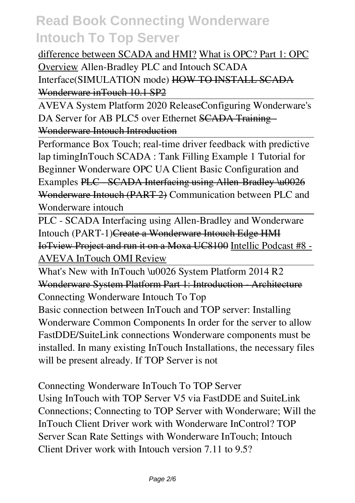#### difference between SCADA and HMI? What is OPC? Part 1: OPC

Overview *Allen-Bradley PLC and Intouch SCADA Interface(SIMULATION mode)* HOW TO INSTALL SCADA Wonderware inTouch 10.1 SP2

AVEVA System Platform 2020 Release*Configuring Wonderware's* DA Server for AB PLC5 over Ethernet **SCADA Training** Wonderware Intouch Introduction

Performance Box Touch; real-time driver feedback with predictive lap timing**InTouch SCADA : Tank Filling Example 1 Tutorial for Beginner** *Wonderware OPC UA Client Basic Configuration and* **Examples** PLC SCADA Interfacing using Allen Bradley \u0026 Wonderware Intouch (PART 2) *Communication between PLC and Wonderware intouch*

PLC - SCADA Interfacing using Allen-Bradley and Wonderware Intouch (PART-1)Create a Wonderware Intouch Edge HMI IoTview Project and run it on a Moxa UC8100 Intellic Podcast #8 - AVEVA InTouch OMI Review

What's New with InTouch \u0026 System Platform 2014 R2 Wonderware System Platform Part 1: Introduction - Architecture *Connecting Wonderware Intouch To Top* Basic connection between InTouch and TOP server: Installing Wonderware Common Components In order for the server to allow FastDDE/SuiteLink connections Wonderware components must be installed. In many existing InTouch Installations, the necessary files will be present already. If TOP Server is not

*Connecting Wonderware InTouch To TOP Server* Using InTouch with TOP Server V5 via FastDDE and SuiteLink Connections; Connecting to TOP Server with Wonderware; Will the InTouch Client Driver work with Wonderware InControl? TOP Server Scan Rate Settings with Wonderware InTouch; Intouch Client Driver work with Intouch version 7.11 to 9.5?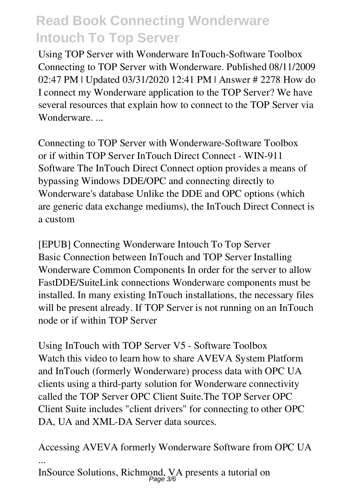*Using TOP Server with Wonderware InTouch-Software Toolbox* Connecting to TOP Server with Wonderware. Published 08/11/2009 02:47 PM | Updated 03/31/2020 12:41 PM | Answer # 2278 How do I connect my Wonderware application to the TOP Server? We have several resources that explain how to connect to the TOP Server via Wonderware....

*Connecting to TOP Server with Wonderware-Software Toolbox* or if within TOP Server InTouch Direct Connect - WIN-911 Software The InTouch Direct Connect option provides a means of bypassing Windows DDE/OPC and connecting directly to Wonderware's database Unlike the DDE and OPC options (which are generic data exchange mediums), the InTouch Direct Connect is a custom

*[EPUB] Connecting Wonderware Intouch To Top Server* Basic Connection between InTouch and TOP Server Installing Wonderware Common Components In order for the server to allow FastDDE/SuiteLink connections Wonderware components must be installed. In many existing InTouch installations, the necessary files will be present already. If TOP Server is not running on an InTouch node or if within TOP Server

*Using InTouch with TOP Server V5 - Software Toolbox* Watch this video to learn how to share AVEVA System Platform and InTouch (formerly Wonderware) process data with OPC UA clients using a third-party solution for Wonderware connectivity called the TOP Server OPC Client Suite.The TOP Server OPC Client Suite includes "client drivers" for connecting to other OPC DA, UA and XML-DA Server data sources.

*Accessing AVEVA formerly Wonderware Software from OPC UA ...*

InSource Solutions, Richmond, VA presents a tutorial on Page 3/6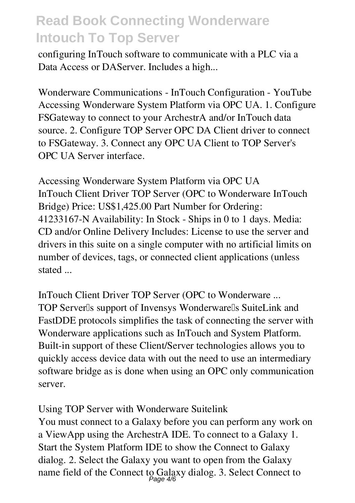configuring InTouch software to communicate with a PLC via a Data Access or DAServer. Includes a high...

*Wonderware Communications - InTouch Configuration - YouTube* Accessing Wonderware System Platform via OPC UA. 1. Configure FSGateway to connect to your ArchestrA and/or InTouch data source. 2. Configure TOP Server OPC DA Client driver to connect to FSGateway. 3. Connect any OPC UA Client to TOP Server's OPC UA Server interface.

*Accessing Wonderware System Platform via OPC UA* InTouch Client Driver TOP Server (OPC to Wonderware InTouch Bridge) Price: US\$1,425.00 Part Number for Ordering: 41233167-N Availability: In Stock - Ships in 0 to 1 days. Media: CD and/or Online Delivery Includes: License to use the server and drivers in this suite on a single computer with no artificial limits on number of devices, tags, or connected client applications (unless stated ...

*InTouch Client Driver TOP Server (OPC to Wonderware ...* TOP Server<sup>[]</sup>s support of Invensys Wonderware<sup>[]</sup>s SuiteLink and FastDDE protocols simplifies the task of connecting the server with Wonderware applications such as InTouch and System Platform. Built-in support of these Client/Server technologies allows you to quickly access device data with out the need to use an intermediary software bridge as is done when using an OPC only communication server.

*Using TOP Server with Wonderware Suitelink*

You must connect to a Galaxy before you can perform any work on a ViewApp using the ArchestrA IDE. To connect to a Galaxy 1. Start the System Platform IDE to show the Connect to Galaxy dialog. 2. Select the Galaxy you want to open from the Galaxy name field of the Connect to Galaxy dialog. 3. Select Connect to Page 4/6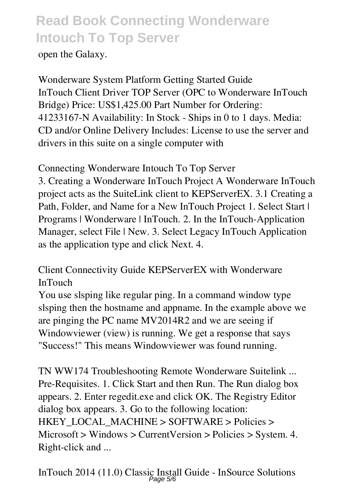open the Galaxy.

*Wonderware System Platform Getting Started Guide* InTouch Client Driver TOP Server (OPC to Wonderware InTouch Bridge) Price: US\$1,425.00 Part Number for Ordering: 41233167-N Availability: In Stock - Ships in 0 to 1 days. Media: CD and/or Online Delivery Includes: License to use the server and drivers in this suite on a single computer with

*Connecting Wonderware Intouch To Top Server*

3. Creating a Wonderware InTouch Project A Wonderware InTouch project acts as the SuiteLink client to KEPServerEX. 3.1 Creating a Path, Folder, and Name for a New InTouch Project 1. Select Start | Programs | Wonderware | InTouch. 2. In the InTouch-Application Manager, select File | New. 3. Select Legacy InTouch Application as the application type and click Next. 4.

*Client Connectivity Guide KEPServerEX with Wonderware InTouch*

You use slsping like regular ping. In a command window type slsping then the hostname and appname. In the example above we are pinging the PC name MV2014R2 and we are seeing if Windowviewer (view) is running. We get a response that says "Success!" This means Windowviewer was found running.

*TN WW174 Troubleshooting Remote Wonderware Suitelink ...* Pre-Requisites. 1. Click Start and then Run. The Run dialog box appears. 2. Enter regedit.exe and click OK. The Registry Editor dialog box appears. 3. Go to the following location: HKEY\_LOCAL\_MACHINE > SOFTWARE > Policies > Microsoft > Windows > CurrentVersion > Policies > System. 4. Right-click and ...

*InTouch 2014 (11.0) Classic Install Guide - InSource Solutions* Page 5/6